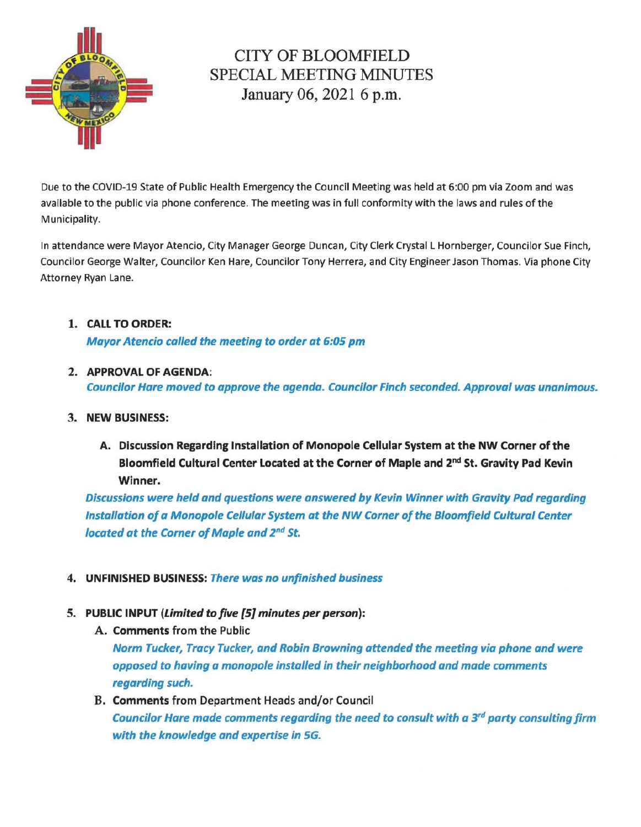

# CITY OF BLOOMFIELD SPECIAL MEETING MINUTES January 06, 2021 6 p.m.

Due to the COVID-19 State of Public Health Emergency the Council Meeting was held at 6:00 pm via Zoom and was available to the public via phone conference. The meeting was in full conformity with the laws and rules of the Municipality.

In attendance were Mayor Atencio, City Manager George Duncan, City Clerk Crystal L Hornberger, Councilor Sue Finch, Councilor George Walter, Councilor Ken Hare, Councilor Tony Herrera, and City Engineer Jason Thomas. Via phone City Attorney Ryan Lane.

# 1. CALL TO ORDER:

Mayor Atencio called the meeting to order at 6:05 pm

# 2. APPROVAL OF AGENDA:

Councilor Hare moved to approve the agenda. Councilor Finch seconded. Approval was unanimous.

### 3. NEW BUSINESS:

A. Discussion Regarding Installation of Monopole Cellular System at the NW Corner of the Bloomfield Cultural Center Located at the Corner of Maple and 2<sup>nd</sup> St. Gravity Pad Kevin Winner.

Discussions were held and questions were answered by Kevin Winner with Gravity Pad regarding Installation of a Monopole Cellular System at the NW Corner of the Bloomfield Cultural Center located at the Corner of Maple and *2nd* St.

# 4. UNFINISHED BUSINESS: There was no unfinished business

# 5. PUBLIC INPUT (Limited to five [5} minutes per person):

A. Comments from the Public

Norm Tucker, Tracy Tucker, and Robin Browning attended the meeting via phone and were opposed to having a monopole installed in their neighborhood and made comments regarding such.

B. Comments from Department Heads and/or Council Councilor Hare made comments regarding the need to consult with a  $3^{rd}$  party consulting firm with the knowledge and expertise in 5G.